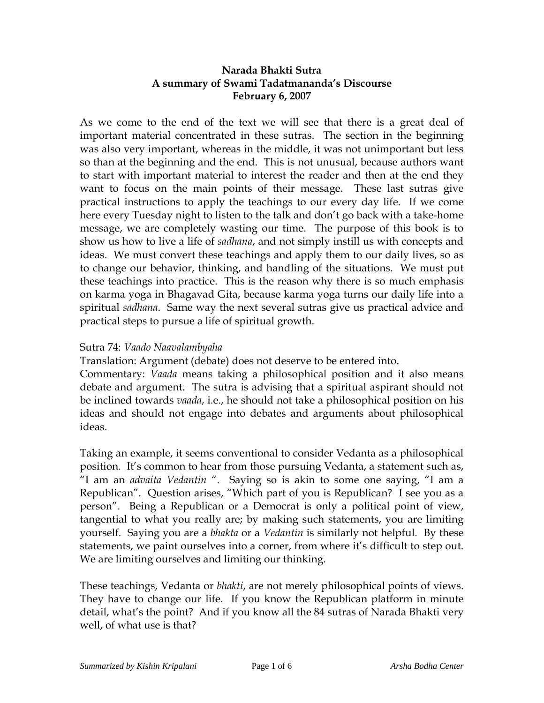## **Narada Bhakti Sutra A summary of Swami Tadatmananda's Discourse February 6, 2007**

As we come to the end of the text we will see that there is a great deal of important material concentrated in these sutras. The section in the beginning was also very important, whereas in the middle, it was not unimportant but less so than at the beginning and the end. This is not unusual, because authors want to start with important material to interest the reader and then at the end they want to focus on the main points of their message. These last sutras give practical instructions to apply the teachings to our every day life. If we come here every Tuesday night to listen to the talk and don't go back with a take-home message, we are completely wasting our time. The purpose of this book is to show us how to live a life of *sadhana*, and not simply instill us with concepts and ideas. We must convert these teachings and apply them to our daily lives, so as to change our behavior, thinking, and handling of the situations. We must put these teachings into practice. This is the reason why there is so much emphasis on karma yoga in Bhagavad Gita, because karma yoga turns our daily life into a spiritual *sadhana*. Same way the next several sutras give us practical advice and practical steps to pursue a life of spiritual growth.

## Sutra 74: *Vaado Naavalambyaha*

Translation: Argument (debate) does not deserve to be entered into.

Commentary: *Vaada* means taking a philosophical position and it also means debate and argument. The sutra is advising that a spiritual aspirant should not be inclined towards *vaada*, i.e., he should not take a philosophical position on his ideas and should not engage into debates and arguments about philosophical ideas.

Taking an example, it seems conventional to consider Vedanta as a philosophical position. It's common to hear from those pursuing Vedanta, a statement such as, "I am an *advaita Vedantin* ". Saying so is akin to some one saying, "I am a Republican". Question arises, "Which part of you is Republican? I see you as a person". Being a Republican or a Democrat is only a political point of view, tangential to what you really are; by making such statements, you are limiting yourself. Saying you are a *bhakta* or a *Vedantin* is similarly not helpful. By these statements, we paint ourselves into a corner, from where it's difficult to step out. We are limiting ourselves and limiting our thinking.

These teachings, Vedanta or *bhakti*, are not merely philosophical points of views. They have to change our life. If you know the Republican platform in minute detail, what's the point? And if you know all the 84 sutras of Narada Bhakti very well, of what use is that?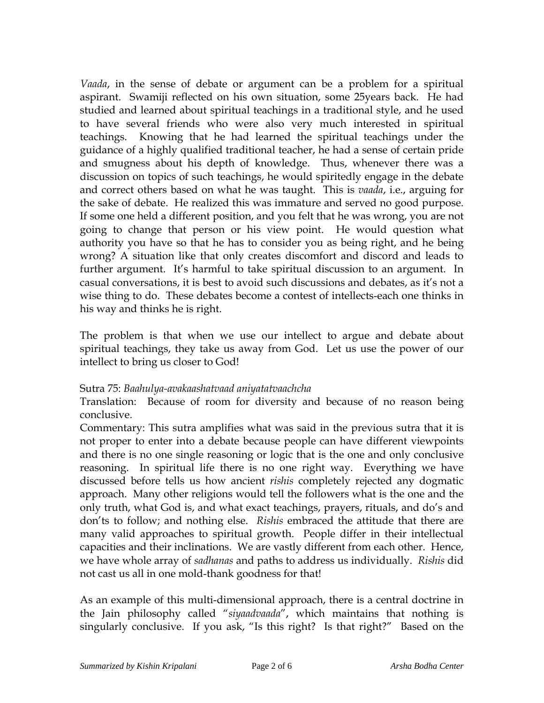*Vaada*, in the sense of debate or argument can be a problem for a spiritual aspirant. Swamiji reflected on his own situation, some 25years back. He had studied and learned about spiritual teachings in a traditional style, and he used to have several friends who were also very much interested in spiritual teachings. Knowing that he had learned the spiritual teachings under the guidance of a highly qualified traditional teacher, he had a sense of certain pride and smugness about his depth of knowledge. Thus, whenever there was a discussion on topics of such teachings, he would spiritedly engage in the debate and correct others based on what he was taught. This is *vaada*, i.e., arguing for the sake of debate. He realized this was immature and served no good purpose. If some one held a different position, and you felt that he was wrong, you are not going to change that person or his view point. He would question what authority you have so that he has to consider you as being right, and he being wrong? A situation like that only creates discomfort and discord and leads to further argument. It's harmful to take spiritual discussion to an argument. In casual conversations, it is best to avoid such discussions and debates, as it's not a wise thing to do. These debates become a contest of intellects-each one thinks in his way and thinks he is right.

The problem is that when we use our intellect to argue and debate about spiritual teachings, they take us away from God. Let us use the power of our intellect to bring us closer to God!

### Sutra 75: *Baahulya-avakaashatvaad aniyatatvaachcha*

Translation: Because of room for diversity and because of no reason being conclusive.

Commentary: This sutra amplifies what was said in the previous sutra that it is not proper to enter into a debate because people can have different viewpoints and there is no one single reasoning or logic that is the one and only conclusive reasoning. In spiritual life there is no one right way. Everything we have discussed before tells us how ancient *rishis* completely rejected any dogmatic approach. Many other religions would tell the followers what is the one and the only truth, what God is, and what exact teachings, prayers, rituals, and do's and don'ts to follow; and nothing else. *Rishis* embraced the attitude that there are many valid approaches to spiritual growth. People differ in their intellectual capacities and their inclinations. We are vastly different from each other. Hence, we have whole array of *sadhanas* and paths to address us individually. *Rishis* did not cast us all in one mold-thank goodness for that!

As an example of this multi-dimensional approach, there is a central doctrine in the Jain philosophy called "*siyaadvaada*", which maintains that nothing is singularly conclusive. If you ask, "Is this right? Is that right?" Based on the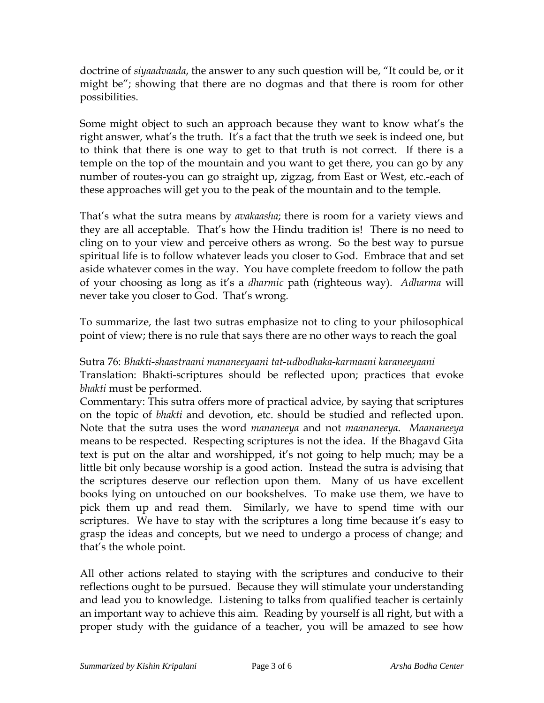doctrine of *siyaadvaada*, the answer to any such question will be, "It could be, or it might be"; showing that there are no dogmas and that there is room for other possibilities.

Some might object to such an approach because they want to know what's the right answer, what's the truth. It's a fact that the truth we seek is indeed one, but to think that there is one way to get to that truth is not correct. If there is a temple on the top of the mountain and you want to get there, you can go by any number of routes-you can go straight up, zigzag, from East or West, etc.-each of these approaches will get you to the peak of the mountain and to the temple.

That's what the sutra means by *avakaasha*; there is room for a variety views and they are all acceptable. That's how the Hindu tradition is! There is no need to cling on to your view and perceive others as wrong. So the best way to pursue spiritual life is to follow whatever leads you closer to God. Embrace that and set aside whatever comes in the way. You have complete freedom to follow the path of your choosing as long as it's a *dharmic* path (righteous way). *Adharma* will never take you closer to God. That's wrong.

To summarize, the last two sutras emphasize not to cling to your philosophical point of view; there is no rule that says there are no other ways to reach the goal

Sutra 76: *Bhakti-shaastraani mananeeyaani tat-udbodhaka-karmaani karaneeyaani*  Translation: Bhakti-scriptures should be reflected upon; practices that evoke *bhakti* must be performed.

Commentary: This sutra offers more of practical advice, by saying that scriptures on the topic of *bhakti* and devotion, etc. should be studied and reflected upon. Note that the sutra uses the word *mananeeya* and not *maananeeya*. *Maananeeya* means to be respected. Respecting scriptures is not the idea. If the Bhagavd Gita text is put on the altar and worshipped, it's not going to help much; may be a little bit only because worship is a good action. Instead the sutra is advising that the scriptures deserve our reflection upon them. Many of us have excellent books lying on untouched on our bookshelves. To make use them, we have to pick them up and read them. Similarly, we have to spend time with our scriptures. We have to stay with the scriptures a long time because it's easy to grasp the ideas and concepts, but we need to undergo a process of change; and that's the whole point.

All other actions related to staying with the scriptures and conducive to their reflections ought to be pursued. Because they will stimulate your understanding and lead you to knowledge. Listening to talks from qualified teacher is certainly an important way to achieve this aim. Reading by yourself is all right, but with a proper study with the guidance of a teacher, you will be amazed to see how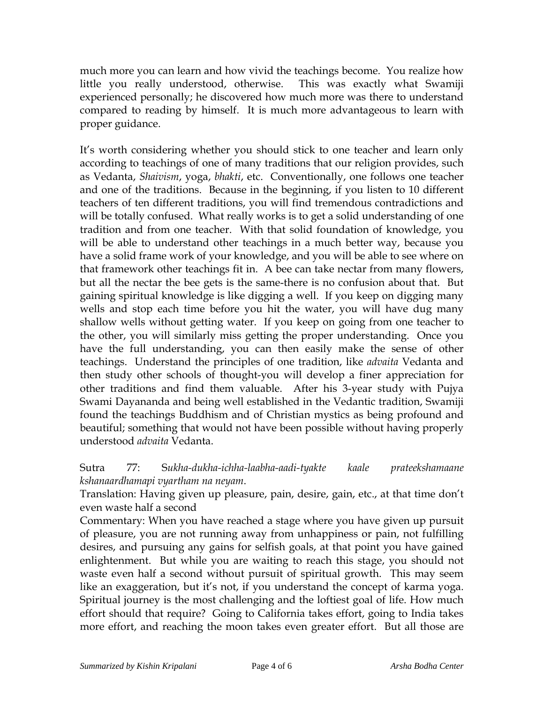much more you can learn and how vivid the teachings become. You realize how little you really understood, otherwise. This was exactly what Swamiji experienced personally; he discovered how much more was there to understand compared to reading by himself. It is much more advantageous to learn with proper guidance.

It's worth considering whether you should stick to one teacher and learn only according to teachings of one of many traditions that our religion provides, such as Vedanta, *Shaivism*, yoga, *bhakti*, etc. Conventionally, one follows one teacher and one of the traditions. Because in the beginning, if you listen to 10 different teachers of ten different traditions, you will find tremendous contradictions and will be totally confused. What really works is to get a solid understanding of one tradition and from one teacher. With that solid foundation of knowledge, you will be able to understand other teachings in a much better way, because you have a solid frame work of your knowledge, and you will be able to see where on that framework other teachings fit in. A bee can take nectar from many flowers, but all the nectar the bee gets is the same-there is no confusion about that. But gaining spiritual knowledge is like digging a well. If you keep on digging many wells and stop each time before you hit the water, you will have dug many shallow wells without getting water. If you keep on going from one teacher to the other, you will similarly miss getting the proper understanding. Once you have the full understanding, you can then easily make the sense of other teachings. Understand the principles of one tradition, like *advaita* Vedanta and then study other schools of thought-you will develop a finer appreciation for other traditions and find them valuable. After his 3-year study with Pujya Swami Dayananda and being well established in the Vedantic tradition, Swamiji found the teachings Buddhism and of Christian mystics as being profound and beautiful; something that would not have been possible without having properly understood *advaita* Vedanta.

Sutra 77: S*ukha-dukha-ichha-laabha-aadi-tyakte kaale prateekshamaane kshanaardhamapi vyartham na neyam*.

Translation: Having given up pleasure, pain, desire, gain, etc., at that time don't even waste half a second

Commentary: When you have reached a stage where you have given up pursuit of pleasure, you are not running away from unhappiness or pain, not fulfilling desires, and pursuing any gains for selfish goals, at that point you have gained enlightenment. But while you are waiting to reach this stage, you should not waste even half a second without pursuit of spiritual growth. This may seem like an exaggeration, but it's not, if you understand the concept of karma yoga. Spiritual journey is the most challenging and the loftiest goal of life. How much effort should that require? Going to California takes effort, going to India takes more effort, and reaching the moon takes even greater effort. But all those are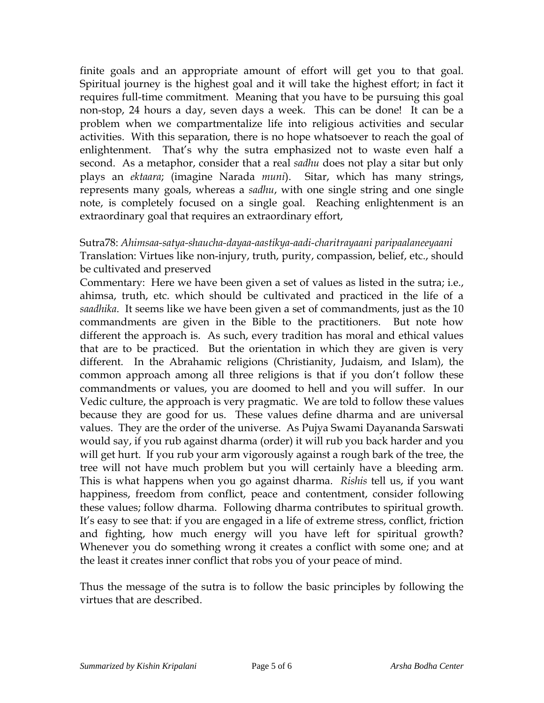finite goals and an appropriate amount of effort will get you to that goal. Spiritual journey is the highest goal and it will take the highest effort; in fact it requires full-time commitment. Meaning that you have to be pursuing this goal non-stop, 24 hours a day, seven days a week. This can be done! It can be a problem when we compartmentalize life into religious activities and secular activities. With this separation, there is no hope whatsoever to reach the goal of enlightenment. That's why the sutra emphasized not to waste even half a second. As a metaphor, consider that a real *sadhu* does not play a sitar but only plays an *ektaara*; (imagine Narada *muni*). Sitar, which has many strings, represents many goals, whereas a *sadhu*, with one single string and one single note, is completely focused on a single goal. Reaching enlightenment is an extraordinary goal that requires an extraordinary effort,

# Sutra78: *Ahimsaa-satya-shaucha-dayaa-aastikya-aadi-charitrayaani paripaalaneeyaani*  Translation: Virtues like non-injury, truth, purity, compassion, belief, etc., should be cultivated and preserved

Commentary: Here we have been given a set of values as listed in the sutra; i.e., ahimsa, truth, etc. which should be cultivated and practiced in the life of a *saadhika*. It seems like we have been given a set of commandments, just as the 10 commandments are given in the Bible to the practitioners. But note how different the approach is. As such, every tradition has moral and ethical values that are to be practiced. But the orientation in which they are given is very different. In the Abrahamic religions (Christianity, Judaism, and Islam), the common approach among all three religions is that if you don't follow these commandments or values, you are doomed to hell and you will suffer. In our Vedic culture, the approach is very pragmatic. We are told to follow these values because they are good for us. These values define dharma and are universal values. They are the order of the universe. As Pujya Swami Dayananda Sarswati would say, if you rub against dharma (order) it will rub you back harder and you will get hurt. If you rub your arm vigorously against a rough bark of the tree, the tree will not have much problem but you will certainly have a bleeding arm. This is what happens when you go against dharma. *Rishis* tell us, if you want happiness, freedom from conflict, peace and contentment, consider following these values; follow dharma. Following dharma contributes to spiritual growth. It's easy to see that: if you are engaged in a life of extreme stress, conflict, friction and fighting, how much energy will you have left for spiritual growth? Whenever you do something wrong it creates a conflict with some one; and at the least it creates inner conflict that robs you of your peace of mind.

Thus the message of the sutra is to follow the basic principles by following the virtues that are described.